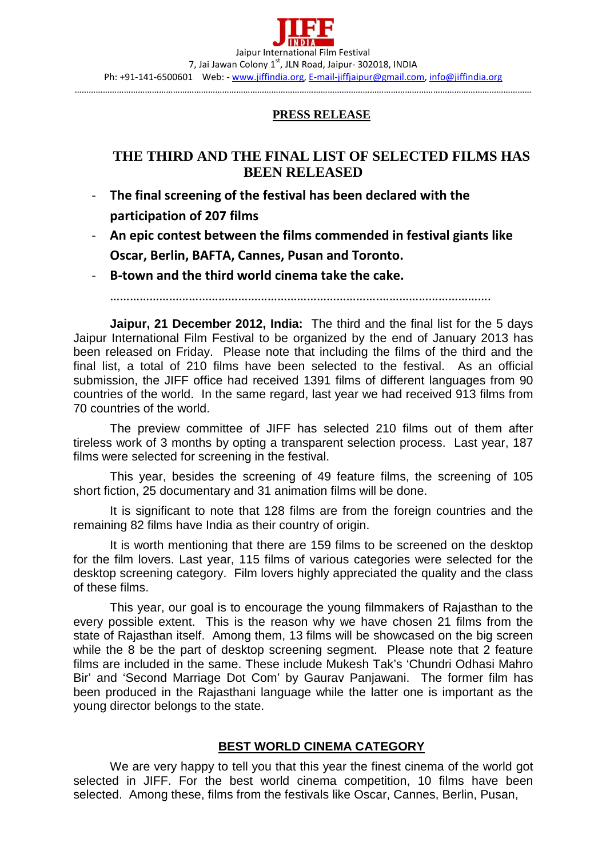## **PRESS RELEASE**

## **THE THIRD AND THE FINAL LIST OF SELECTED FILMS HAS BEEN RELEASED**

- **The final screening of the festival has been declared with the participation of 207 films**
- **An epic contest between the films commended in festival giants like Oscar, Berlin, BAFTA, Cannes, Pusan and Toronto.**
- **B-town and the third world cinema take the cake.**

……………………………………………………………………….…………………………….

**Jaipur, 21 December 2012, India:** The third and the final list for the 5 days Jaipur International Film Festival to be organized by the end of January 2013 has been released on Friday. Please note that including the films of the third and the final list, a total of 210 films have been selected to the festival. As an official submission, the JIFF office had received 1391 films of different languages from 90 countries of the world. In the same regard, last year we had received 913 films from 70 countries of the world.

The preview committee of JIFF has selected 210 films out of them after tireless work of 3 months by opting a transparent selection process. Last year, 187 films were selected for screening in the festival.

This year, besides the screening of 49 feature films, the screening of 105 short fiction, 25 documentary and 31 animation films will be done.

It is significant to note that 128 films are from the foreign countries and the remaining 82 films have India as their country of origin.

It is worth mentioning that there are 159 films to be screened on the desktop for the film lovers. Last year, 115 films of various categories were selected for the desktop screening category. Film lovers highly appreciated the quality and the class of these films.

This year, our goal is to encourage the young filmmakers of Rajasthan to the every possible extent. This is the reason why we have chosen 21 films from the state of Rajasthan itself. Among them, 13 films will be showcased on the big screen while the 8 be the part of desktop screening segment. Please note that 2 feature films are included in the same. These include Mukesh Tak's 'Chundri Odhasi Mahro Bir' and 'Second Marriage Dot Com' by Gaurav Panjawani. The former film has been produced in the Rajasthani language while the latter one is important as the young director belongs to the state.

## **BEST WORLD CINEMA CATEGORY**

We are very happy to tell you that this year the finest cinema of the world got selected in JIFF. For the best world cinema competition, 10 films have been selected. Among these, films from the festivals like Oscar, Cannes, Berlin, Pusan,